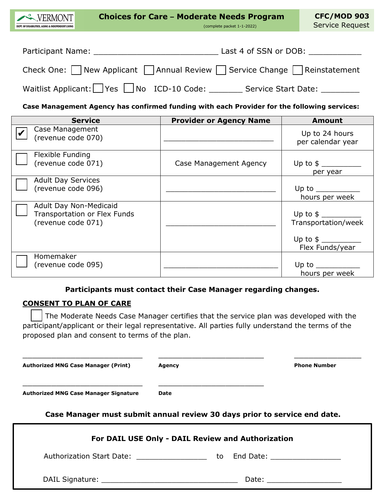| <b>Choices for Care - Moderate Needs Program</b><br>VERMONT<br>(complete packet 1-1-2022)<br>DEPT. OF DISABILITIES. AGING & INDEPENDENT LIVING                                                                                                          | <b>CFC/MOD 903</b><br>Service Request |
|---------------------------------------------------------------------------------------------------------------------------------------------------------------------------------------------------------------------------------------------------------|---------------------------------------|
| Last 4 of SSN or DOB:<br>Participant Name: The contract of the contract of the contract of the contract of the contract of the contract of the contract of the contract of the contract of the contract of the contract of the contract of the contract |                                       |
| Check One: $\Box$ New Applicant $\Box$ Annual Review $\Box$ Service Change $\Box$ Reinstatement                                                                                                                                                         |                                       |
| Waitlist Applicant:     Yes     No ICD-10 Code: Service Start Date:                                                                                                                                                                                     |                                       |

# **Case Management Agency has confirmed funding with each Provider for the following services:**

| <b>Service</b>                                                                      | <b>Provider or Agency Name</b> | <b>Amount</b>                                                                                                                     |
|-------------------------------------------------------------------------------------|--------------------------------|-----------------------------------------------------------------------------------------------------------------------------------|
| Case Management<br>(revenue code 070)                                               |                                | Up to 24 hours<br>per calendar year                                                                                               |
| Flexible Funding<br>(revenue code 071)                                              | Case Management Agency         | per year                                                                                                                          |
| <b>Adult Day Services</b><br>(revenue code 096)                                     |                                | Up to the same state of the state of the state of the state of the state of the state of the state of the state<br>hours per week |
| Adult Day Non-Medicaid<br><b>Transportation or Flex Funds</b><br>(revenue code 071) |                                | Up to $\frac{1}{2}$<br>Transportation/week<br>Flex Funds/year                                                                     |
| <b>Homemaker</b><br>(revenue code 095)                                              |                                | Up to<br>hours per week                                                                                                           |

## **Participants must contact their Case Manager regarding changes.**

#### **CONSENT TO PLAN OF CARE**

The Moderate Needs Case Manager certifies that the service plan was developed with the participant/applicant or their legal representative. All parties fully understand the terms of the proposed plan and consent to terms of the plan.

\_\_\_\_\_\_\_\_\_\_\_\_\_\_\_\_\_\_\_\_\_\_\_\_\_ \_\_\_\_\_\_\_\_\_\_\_\_\_\_\_\_\_\_\_\_\_\_ \_\_\_\_\_\_\_\_\_\_\_\_\_\_

**Authorized MNG Case Manager (Print) Agency Phone Number**

\_\_\_\_\_\_\_\_\_\_\_\_\_\_\_\_\_\_\_\_\_\_\_\_\_ \_\_\_\_\_\_\_\_\_\_\_\_\_\_\_\_\_\_\_\_\_\_

**Authorized MNG Case Manager Signature Date**

**Case Manager must submit annual review 30 days prior to service end date.**

| For DAIL USE Only - DAIL Review and Authorization |                                                                                |    |                                |
|---------------------------------------------------|--------------------------------------------------------------------------------|----|--------------------------------|
|                                                   | <b>Authorization Start Date:</b><br><u> 1980 - Jan Barbara Barbara, maso a</u> | to | End Date: ____________________ |
|                                                   |                                                                                |    | Date: __________________       |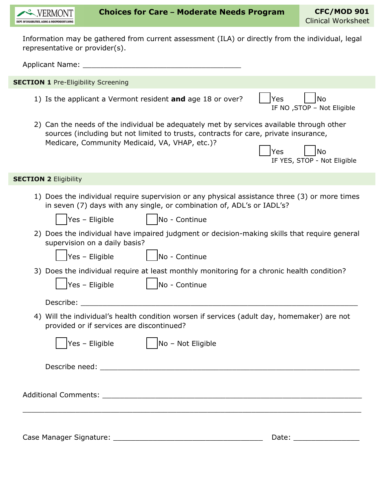

Information may be gathered from current assessment (ILA) or directly from the individual, legal representative or provider(s).

Applicant Name: **Alternative According to According the According According to According the According to According the According of According to According the According to According the According to According the Accordin** 1) Is the applicant a Vermont resident **and** age 18 or over? | | Yes | | | No IF NO ,STOP – Not Eligible 2) Can the needs of the individual be adequately met by services available through other sources (including but not limited to trusts, contracts for care, private insurance, Medicare, Community Medicaid, VA, VHAP, etc.)? Yes | |No IF YES, STOP - Not Eligible 1) Does the individual require supervision or any physical assistance three (3) or more times in seven (7) days with any single, or combination of, ADL's or IADL's?  $Yes - Elizabeth$  |  $No - Continue$ 2) Does the individual have impaired judgment or decision-making skills that require general supervision on a daily basis?  $\vert$ Yes – Eligible  $\vert$   $\vert$  No - Continue 3) Does the individual require at least monthly monitoring for a chronic health condition?  $\textsf{Yes}$  – Eligible  $\textsf{No}$  - Continue Describe: 4) Will the individual's health condition worsen if services (adult day, homemaker) are not provided or if services are discontinued?  $Yes - Eligible$   $| No - Not Eligible$ Describe need: \_\_\_\_\_\_\_\_\_\_\_\_\_\_\_\_\_\_\_\_\_\_\_\_\_\_\_\_\_\_\_\_\_\_\_\_\_\_\_\_\_\_\_\_\_\_\_\_\_\_\_\_\_\_\_\_\_\_\_ Additional Comments: \_\_\_\_\_\_\_\_\_\_\_\_\_\_\_\_\_\_\_\_\_\_\_\_\_\_\_\_\_\_\_\_\_\_\_\_\_\_\_\_\_\_\_\_\_\_\_\_\_\_\_\_\_\_\_\_\_\_\_ \_\_\_\_\_\_\_\_\_\_\_\_\_\_\_\_\_\_\_\_\_\_\_\_\_\_\_\_\_\_\_\_\_\_\_\_\_\_\_\_\_\_\_\_\_\_\_\_\_\_\_\_\_\_\_\_\_\_\_\_\_\_\_\_\_\_\_\_\_\_\_\_\_\_\_\_\_ **SECTION 1 Pre-Eligibility Screening SECTION 2 Eligibility** 

Case Manager Signature: \_\_\_\_\_\_\_\_\_\_\_\_\_\_\_\_\_\_\_\_\_\_\_\_\_\_\_\_\_\_\_\_\_\_ Date: \_\_\_\_\_\_\_\_\_\_\_\_\_\_\_